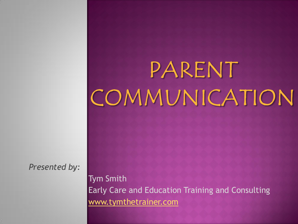# PARENT COMMUNICATION

*Presented by:*

Tym Smith Early Care and Education Training and Consulting [www.tymthetrainer.com](http://www.tymthetrainer.com/)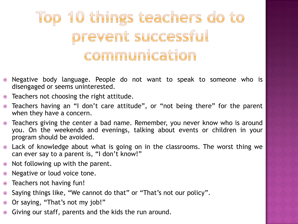# Top 10 things teachers do to prevent successful communication

- Negative body language. People do not want to speak to someone who is disengaged or seems uninterested.
- Teachers not choosing the right attitude.
- Teachers having an "I don't care attitude", or "not being there" for the parent when they have a concern.
- Teachers giving the center a bad name. Remember, you never know who is around you. On the weekends and evenings, talking about events or children in your program should be avoided.
- Lack of knowledge about what is going on in the classrooms. The worst thing we can ever say to a parent is, "I don't know!"
- Not following up with the parent.
- Negative or loud voice tone.
- Teachers not having fun!
- Saying things like, "We cannot do that" or "That's not our policy".
- Or saying, "That's not my job!"
- Giving our staff, parents and the kids the run around.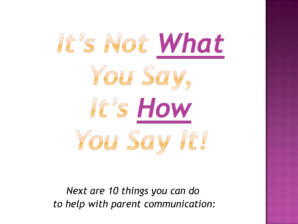

*Next are 10 things you can do to help with parent communication:*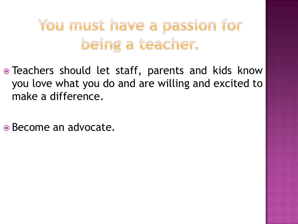# You must have a passion for being a teacher.

- Teachers should let staff, parents and kids know you love what you do and are willing and excited to make a difference.
- Become an advocate.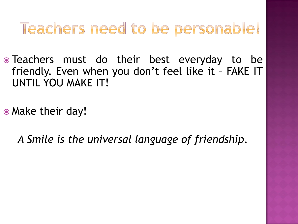# Teachers need to be personable!

• Teachers must do their best everyday to be friendly. Even when you don't feel like it – FAKE IT UNTIL YOU MAKE IT!

• Make their day!

*A Smile is the universal language of friendship.*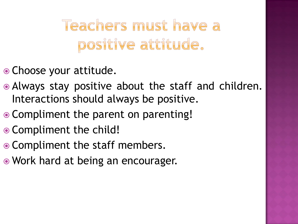Teachers must have a positive attitude.

- Choose your attitude.
- Always stay positive about the staff and children. Interactions should always be positive.
- Compliment the parent on parenting!
- Compliment the child!
- Compliment the staff members.
- Work hard at being an encourager.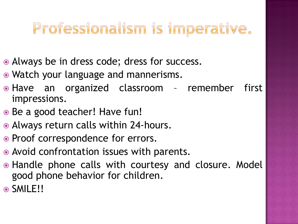# Professionalism is imperative.

- Always be in dress code; dress for success.
- Watch your language and mannerisms.
- Have an organized classroom remember first impressions.
- Be a good teacher! Have fun!
- Always return calls within 24-hours.
- Proof correspondence for errors.
- Avoid confrontation issues with parents.
- Handle phone calls with courtesy and closure. Model good phone behavior for children.
- SMILE!!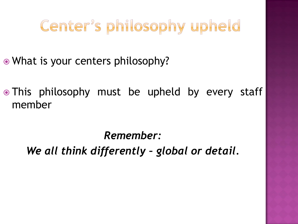# Center's philosophy upheld

- What is your centers philosophy?
- This philosophy must be upheld by every staff member

*Remember:* 

*We all think differently – global or detail.*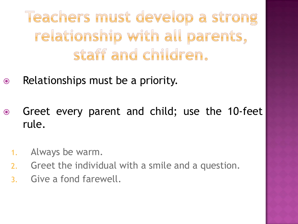Teachers must develop a strong relationship with all parents, staff and children.

- Relationships must be a priority.
- Greet every parent and child; use the 10-feet rule.
	- 1. Always be warm.
	- 2. Greet the individual with a smile and a question.
	- 3. Give a fond farewell.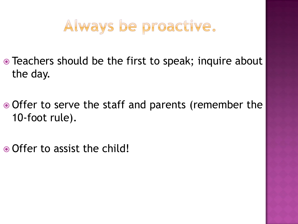#### Always be proactive.

- Teachers should be the first to speak; inquire about the day.
- Offer to serve the staff and parents (remember the 10-foot rule).
- Offer to assist the child!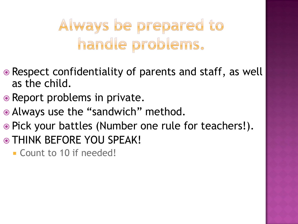# Always be prepared to handle problems.

- Respect confidentiality of parents and staff, as well as the child.
- Report problems in private.
- Always use the "sandwich" method.
- Pick your battles (Number one rule for teachers!).
- THINK BEFORE YOU SPEAK!
	- Count to 10 if needed!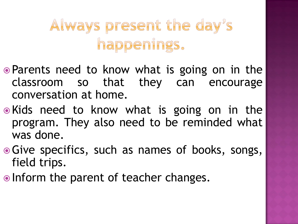# Always present the day's happenings.

- Parents need to know what is going on in the classroom so that they can encourage conversation at home.
- Kids need to know what is going on in the program. They also need to be reminded what was done.
- Give specifics, such as names of books, songs, field trips.
- Inform the parent of teacher changes.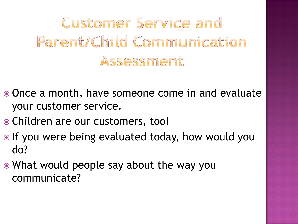Customer Service and Parent/Child Communication Assessment

- Once a month, have someone come in and evaluate your customer service.
- Children are our customers, too!
- $\bullet$  If you were being evaluated today, how would you do?
- What would people say about the way you communicate?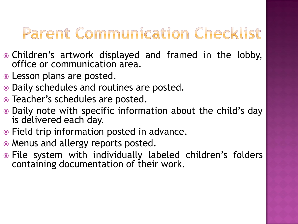# Parent Communication Checklist

- Children's artwork displayed and framed in the lobby, office or communication area.
- Lesson plans are posted.
- Daily schedules and routines are posted.
- Teacher's schedules are posted.
- Daily note with specific information about the child's day is delivered each day.
- Field trip information posted in advance.
- Menus and allergy reports posted.
- File system with individually labeled children's folders containing documentation of their work.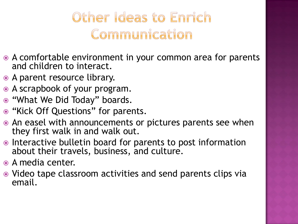#### Other Ideas to Enrich Communication

- A comfortable environment in your common area for parents and children to interact.
- A parent resource library.
- A scrapbook of your program.
- "What We Did Today" boards.
- "Kick Off Questions" for parents.
- An easel with announcements or pictures parents see when they first walk in and walk out.
- Interactive bulletin board for parents to post information about their travels, business, and culture.
- A media center.
- Video tape classroom activities and send parents clips via email.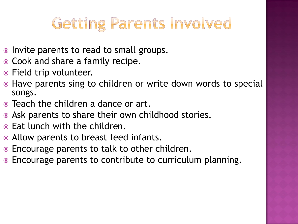# Getting Parents Involved

- Invite parents to read to small groups.
- Cook and share a family recipe.
- Field trip volunteer.
- Have parents sing to children or write down words to special songs.
- Teach the children a dance or art.
- Ask parents to share their own childhood stories.
- Eat lunch with the children.
- Allow parents to breast feed infants.
- Encourage parents to talk to other children.
- Encourage parents to contribute to curriculum planning.